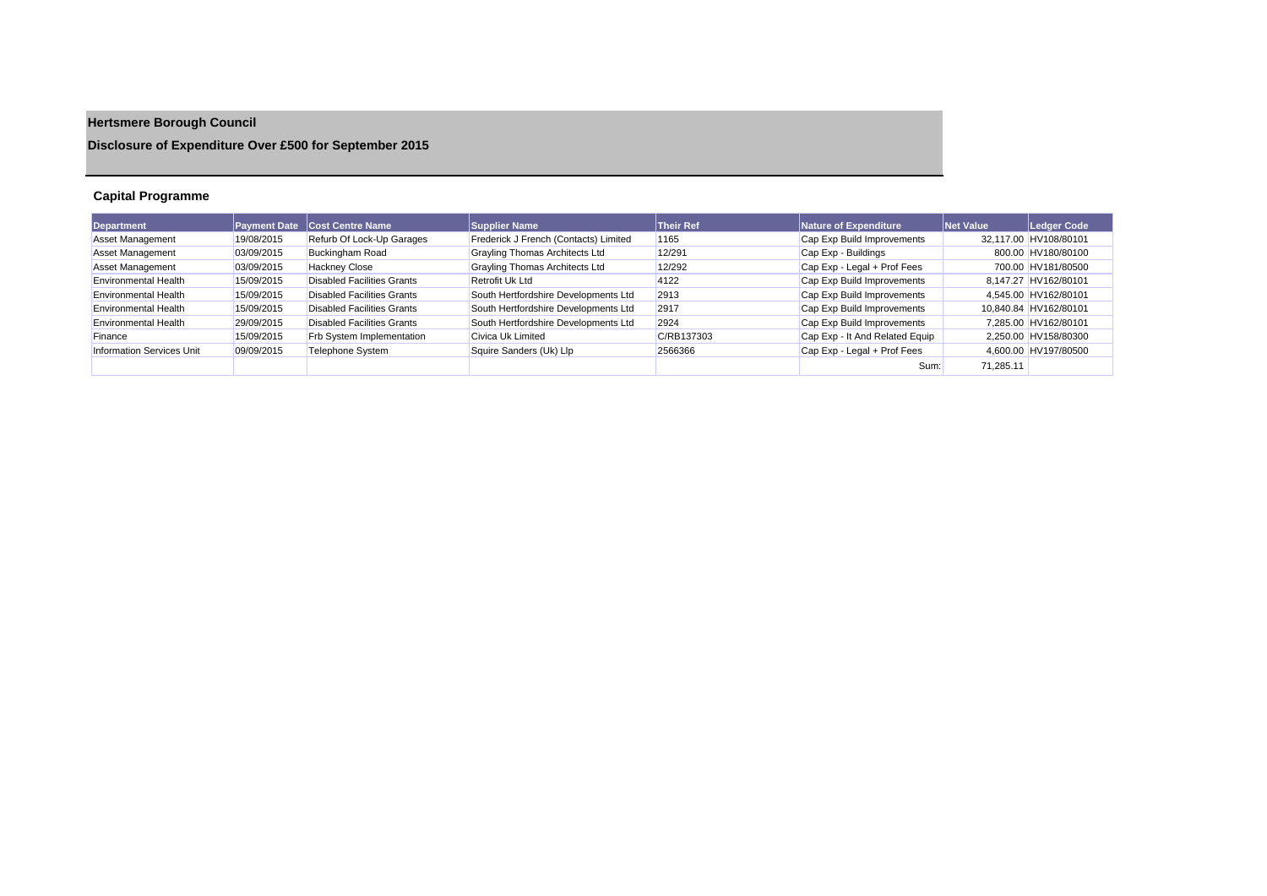# **Hertsmere Borough Council**

**Disclosure of Expenditure Over £500 for September 2015**

## **Capital Programme**

| <b>Department</b>                | <b>Payment Date</b> | <b>Cost Centre Name</b>           | <b>Supplier Name</b>                  | <b>Their Ref</b> | Nature of Expenditure          | Net Value | Ledger Code           |
|----------------------------------|---------------------|-----------------------------------|---------------------------------------|------------------|--------------------------------|-----------|-----------------------|
| <b>Asset Management</b>          | 19/08/2015          | Refurb Of Lock-Up Garages         | Frederick J French (Contacts) Limited | 1165             | Cap Exp Build Improvements     |           | 32,117.00 HV108/80101 |
| <b>Asset Management</b>          | 03/09/2015          | <b>Buckingham Road</b>            | Grayling Thomas Architects Ltd        | 12/291           | Cap Exp - Buildings            |           | 800.00 HV180/80100    |
| <b>Asset Management</b>          | 03/09/2015          | <b>Hackney Close</b>              | <b>Grayling Thomas Architects Ltd</b> | 12/292           | Cap Exp - Legal + Prof Fees    |           | 700.00 HV181/80500    |
| <b>Environmental Health</b>      | 15/09/2015          | Disabled Facilities Grants        | Retrofit Uk Ltd                       | 4122             | Cap Exp Build Improvements     |           | 8.147.27 HV162/80101  |
| <b>Environmental Health</b>      | 15/09/2015          | Disabled Facilities Grants        | South Hertfordshire Developments Ltd  | 2913             | Cap Exp Build Improvements     |           | 4.545.00 HV162/80101  |
| <b>Environmental Health</b>      | 15/09/2015          | <b>Disabled Facilities Grants</b> | South Hertfordshire Developments Ltd  | 2917             | Cap Exp Build Improvements     |           | 10.840.84 HV162/80101 |
| Environmental Health             | 29/09/2015          | Disabled Facilities Grants        | South Hertfordshire Developments Ltd  | 2924             | Cap Exp Build Improvements     |           | 7.285.00 HV162/80101  |
| Finance                          | 15/09/2015          | Frb System Implementation         | Civica Uk Limited                     | C/RB137303       | Cap Exp - It And Related Equip |           | 2.250.00 HV158/80300  |
| <b>Information Services Unit</b> | 09/09/2015          | Telephone System                  | Squire Sanders (Uk) Llp               | 2566366          | Cap Exp - Legal + Prof Fees    |           | 4,600.00 HV197/80500  |
|                                  |                     |                                   |                                       |                  | Sum:                           | 71,285.11 |                       |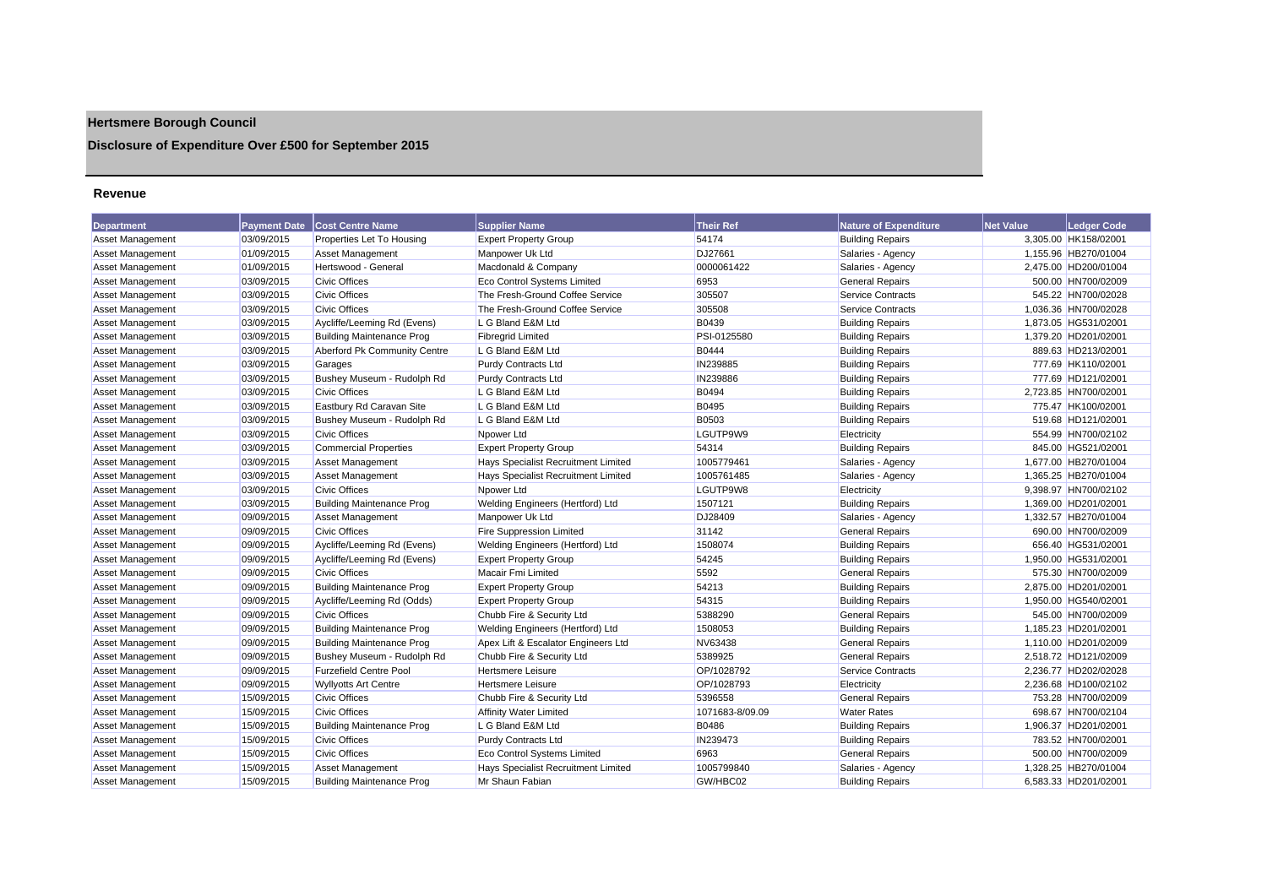## **Hertsmere Borough Council**

## **Disclosure of Expenditure Over £500 for September 2015**

#### **Revenue**

| <b>Department</b>       |            | <b>Payment Date   Cost Centre Name</b> | <b>Supplier Name</b>                | <b>Their Ref</b> | <b>Nature of Expenditure</b> | <b>Net Value</b> | <b>Ledger Code</b>   |
|-------------------------|------------|----------------------------------------|-------------------------------------|------------------|------------------------------|------------------|----------------------|
| Asset Management        | 03/09/2015 | Properties Let To Housing              | <b>Expert Property Group</b>        | 54174            | <b>Building Repairs</b>      |                  | 3,305.00 HK158/02001 |
| <b>Asset Management</b> | 01/09/2015 | <b>Asset Management</b>                | Manpower Uk Ltd                     | DJ27661          | Salaries - Agency            |                  | 1,155.96 HB270/01004 |
| Asset Management        | 01/09/2015 | Hertswood - General                    | Macdonald & Company                 | 0000061422       | Salaries - Agency            |                  | 2,475.00 HD200/01004 |
| <b>Asset Management</b> | 03/09/2015 | <b>Civic Offices</b>                   | <b>Eco Control Systems Limited</b>  | 6953             | <b>General Repairs</b>       |                  | 500.00 HN700/02009   |
| <b>Asset Management</b> | 03/09/2015 | <b>Civic Offices</b>                   | The Fresh-Ground Coffee Service     | 305507           | <b>Service Contracts</b>     |                  | 545.22 HN700/02028   |
| Asset Management        | 03/09/2015 | <b>Civic Offices</b>                   | The Fresh-Ground Coffee Service     | 305508           | Service Contracts            |                  | 1,036.36 HN700/02028 |
| <b>Asset Management</b> | 03/09/2015 | Aycliffe/Leeming Rd (Evens)            | L G Bland E&M Ltd                   | B0439            | <b>Building Repairs</b>      |                  | 1,873.05 HG531/02001 |
| Asset Management        | 03/09/2015 | <b>Building Maintenance Prog</b>       | <b>Fibregrid Limited</b>            | PSI-0125580      | <b>Building Repairs</b>      |                  | 1,379.20 HD201/02001 |
| <b>Asset Management</b> | 03/09/2015 | Aberford Pk Community Centre           | L G Bland E&M Ltd                   | <b>B0444</b>     | <b>Building Repairs</b>      |                  | 889.63 HD213/02001   |
| <b>Asset Management</b> | 03/09/2015 | Garages                                | <b>Purdy Contracts Ltd</b>          | IN239885         | <b>Building Repairs</b>      |                  | 777.69 HK110/02001   |
| Asset Management        | 03/09/2015 | Bushey Museum - Rudolph Rd             | <b>Purdy Contracts Ltd</b>          | IN239886         | <b>Building Repairs</b>      |                  | 777.69 HD121/02001   |
| <b>Asset Management</b> | 03/09/2015 | <b>Civic Offices</b>                   | L G Bland E&M Ltd                   | B0494            | <b>Building Repairs</b>      |                  | 2,723.85 HN700/02001 |
| Asset Management        | 03/09/2015 | Eastbury Rd Caravan Site               | L G Bland E&M Ltd                   | B0495            | <b>Building Repairs</b>      |                  | 775.47 HK100/02001   |
| <b>Asset Management</b> | 03/09/2015 | Bushey Museum - Rudolph Rd             | L G Bland E&M Ltd                   | B0503            | <b>Building Repairs</b>      |                  | 519.68 HD121/02001   |
| <b>Asset Management</b> | 03/09/2015 | <b>Civic Offices</b>                   | Npower Ltd                          | LGUTP9W9         | Electricity                  |                  | 554.99 HN700/02102   |
| <b>Asset Management</b> | 03/09/2015 | <b>Commercial Properties</b>           | <b>Expert Property Group</b>        | 54314            | <b>Building Repairs</b>      |                  | 845.00 HG521/02001   |
| Asset Management        | 03/09/2015 | <b>Asset Management</b>                | Hays Specialist Recruitment Limited | 1005779461       | Salaries - Agency            |                  | 1,677.00 HB270/01004 |
| <b>Asset Management</b> | 03/09/2015 | Asset Management                       | Hays Specialist Recruitment Limited | 1005761485       | Salaries - Agency            |                  | 1,365.25 HB270/01004 |
| Asset Management        | 03/09/2015 | <b>Civic Offices</b>                   | Npower Ltd                          | LGUTP9W8         | Electricity                  |                  | 9,398.97 HN700/02102 |
| Asset Management        | 03/09/2015 | <b>Building Maintenance Prog</b>       | Welding Engineers (Hertford) Ltd    | 1507121          | <b>Building Repairs</b>      |                  | 1,369.00 HD201/02001 |
| Asset Management        | 09/09/2015 | <b>Asset Management</b>                | Manpower Uk Ltd                     | DJ28409          | Salaries - Agency            |                  | 1,332.57 HB270/01004 |
| <b>Asset Management</b> | 09/09/2015 | <b>Civic Offices</b>                   | <b>Fire Suppression Limited</b>     | 31142            | <b>General Repairs</b>       |                  | 690.00 HN700/02009   |
| <b>Asset Management</b> | 09/09/2015 | Aycliffe/Leeming Rd (Evens)            | Welding Engineers (Hertford) Ltd    | 1508074          | <b>Building Repairs</b>      |                  | 656.40 HG531/02001   |
| Asset Management        | 09/09/2015 | Aycliffe/Leeming Rd (Evens)            | <b>Expert Property Group</b>        | 54245            | <b>Building Repairs</b>      |                  | 1,950.00 HG531/02001 |
| Asset Management        | 09/09/2015 | <b>Civic Offices</b>                   | Macair Fmi Limited                  | 5592             | <b>General Repairs</b>       |                  | 575.30 HN700/02009   |
| Asset Management        | 09/09/2015 | <b>Building Maintenance Prog</b>       | <b>Expert Property Group</b>        | 54213            | <b>Building Repairs</b>      |                  | 2.875.00 HD201/02001 |
| <b>Asset Management</b> | 09/09/2015 | Aycliffe/Leeming Rd (Odds)             | <b>Expert Property Group</b>        | 54315            | <b>Building Repairs</b>      |                  | 1.950.00 HG540/02001 |
| <b>Asset Management</b> | 09/09/2015 | Civic Offices                          | Chubb Fire & Security Ltd           | 5388290          | <b>General Repairs</b>       |                  | 545.00 HN700/02009   |
| Asset Management        | 09/09/2015 | <b>Building Maintenance Prog</b>       | Welding Engineers (Hertford) Ltd    | 1508053          | <b>Building Repairs</b>      |                  | 1,185.23 HD201/02001 |
| Asset Management        | 09/09/2015 | <b>Building Maintenance Prog</b>       | Apex Lift & Escalator Engineers Ltd | NV63438          | <b>General Repairs</b>       |                  | 1.110.00 HD201/02009 |
| Asset Management        | 09/09/2015 | Bushey Museum - Rudolph Rd             | Chubb Fire & Security Ltd           | 5389925          | <b>General Repairs</b>       |                  | 2,518.72 HD121/02009 |
| <b>Asset Management</b> | 09/09/2015 | <b>Furzefield Centre Pool</b>          | <b>Hertsmere Leisure</b>            | OP/1028792       | <b>Service Contracts</b>     |                  | 2,236.77 HD202/02028 |
| <b>Asset Management</b> | 09/09/2015 | <b>Wyllyotts Art Centre</b>            | <b>Hertsmere Leisure</b>            | OP/1028793       | Electricity                  |                  | 2,236.68 HD100/02102 |
| <b>Asset Management</b> | 15/09/2015 | <b>Civic Offices</b>                   | Chubb Fire & Security Ltd           | 5396558          | <b>General Repairs</b>       |                  | 753.28 HN700/02009   |
| <b>Asset Management</b> | 15/09/2015 | <b>Civic Offices</b>                   | <b>Affinity Water Limited</b>       | 1071683-8/09.09  | <b>Water Rates</b>           |                  | 698.67 HN700/02104   |
| <b>Asset Management</b> | 15/09/2015 | <b>Building Maintenance Prog</b>       | L G Bland E&M Ltd                   | B0486            | <b>Building Repairs</b>      |                  | 1,906.37 HD201/02001 |
| Asset Management        | 15/09/2015 | <b>Civic Offices</b>                   | <b>Purdy Contracts Ltd</b>          | IN239473         | <b>Building Repairs</b>      |                  | 783.52 HN700/02001   |
| <b>Asset Management</b> | 15/09/2015 | <b>Civic Offices</b>                   | <b>Eco Control Systems Limited</b>  | 6963             | <b>General Repairs</b>       |                  | 500.00 HN700/02009   |
| <b>Asset Management</b> | 15/09/2015 | Asset Management                       | Hays Specialist Recruitment Limited | 1005799840       | Salaries - Agency            |                  | 1.328.25 HB270/01004 |
| Asset Management        | 15/09/2015 | <b>Building Maintenance Prog</b>       | Mr Shaun Fabian                     | GW/HBC02         | <b>Building Repairs</b>      |                  | 6.583.33 HD201/02001 |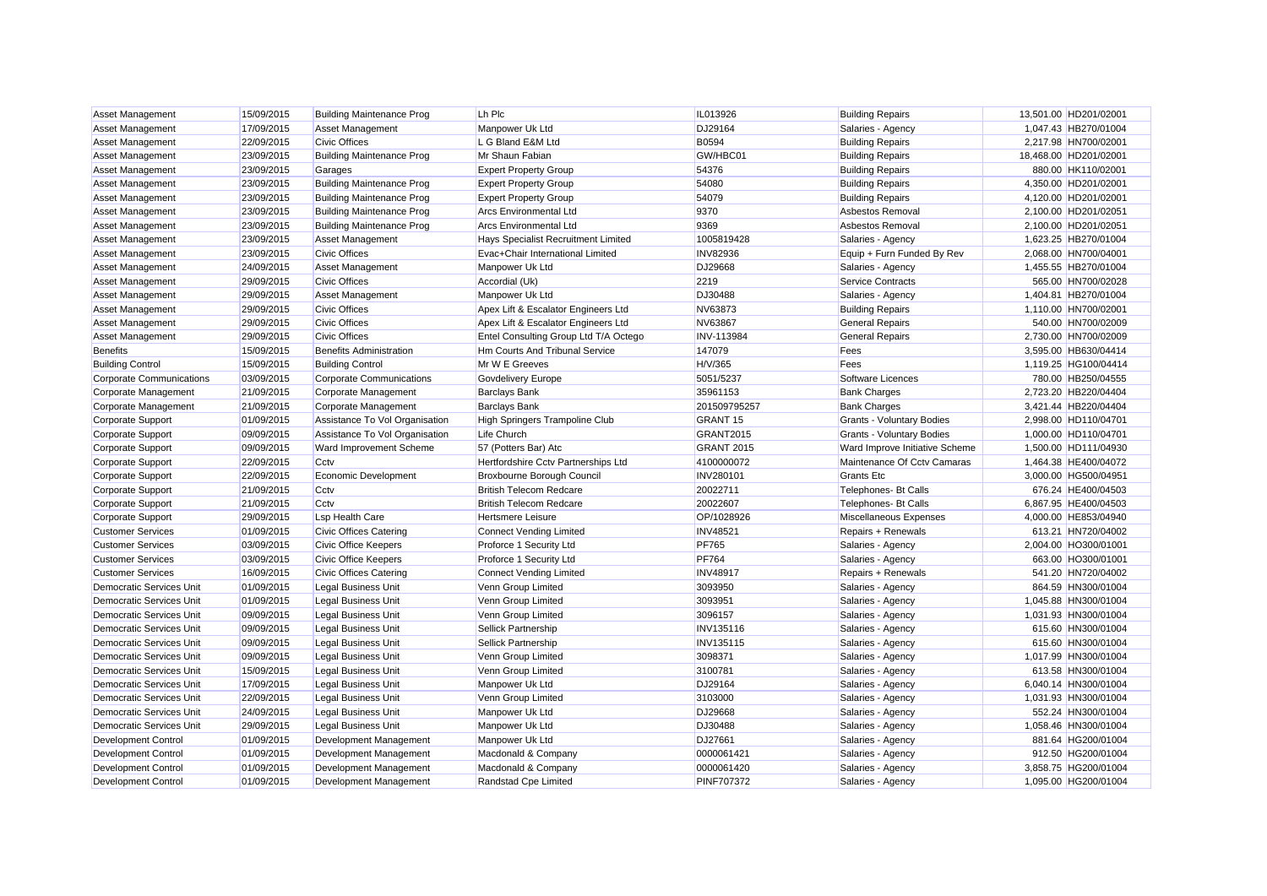| <b>Asset Management</b>         | 15/09/2015 | <b>Building Maintenance Prog</b> | Lh Plc                                | IL013926                        | <b>Building Repairs</b>          | 13,501.00 HD201/02001 |
|---------------------------------|------------|----------------------------------|---------------------------------------|---------------------------------|----------------------------------|-----------------------|
| Asset Management                | 17/09/2015 | <b>Asset Management</b>          | Manpower Uk Ltd                       | DJ29164                         | Salaries - Agency                | 1,047.43 HB270/01004  |
| <b>Asset Management</b>         | 22/09/2015 | <b>Civic Offices</b>             | L G Bland E&M Ltd                     | <b>B0594</b>                    | <b>Building Repairs</b>          | 2,217.98 HN700/02001  |
| <b>Asset Management</b>         | 23/09/2015 | <b>Building Maintenance Prog</b> | Mr Shaun Fabian                       | GW/HBC01                        | <b>Building Repairs</b>          | 18,468.00 HD201/02001 |
| <b>Asset Management</b>         | 23/09/2015 | Garages                          | <b>Expert Property Group</b>          | 54376                           | <b>Building Repairs</b>          | 880.00 HK110/02001    |
| Asset Management                | 23/09/2015 | <b>Building Maintenance Prog</b> | <b>Expert Property Group</b>          | 54080                           | <b>Building Repairs</b>          | 4,350.00 HD201/02001  |
| <b>Asset Management</b>         | 23/09/2015 | <b>Building Maintenance Prog</b> | <b>Expert Property Group</b>          | 54079                           | <b>Building Repairs</b>          | 4,120.00 HD201/02001  |
| <b>Asset Management</b>         | 23/09/2015 | <b>Building Maintenance Prog</b> | <b>Arcs Environmental Ltd</b>         | 9370                            | Asbestos Removal                 | 2,100.00 HD201/02051  |
| <b>Asset Management</b>         | 23/09/2015 | <b>Building Maintenance Prog</b> | <b>Arcs Environmental Ltd</b>         | 9369                            | Asbestos Removal                 | 2,100.00 HD201/02051  |
| Asset Management                | 23/09/2015 | <b>Asset Management</b>          | Hays Specialist Recruitment Limited   | 1005819428                      | Salaries - Agency                | 1,623.25 HB270/01004  |
| Asset Management                | 23/09/2015 | <b>Civic Offices</b>             | Evac+Chair International Limited      | <b>INV82936</b>                 | Equip + Furn Funded By Rev       | 2,068.00 HN700/04001  |
| <b>Asset Management</b>         | 24/09/2015 | <b>Asset Management</b>          | Manpower Uk Ltd                       | DJ29668                         | Salaries - Agency                | 1,455.55 HB270/01004  |
| <b>Asset Management</b>         | 29/09/2015 | <b>Civic Offices</b>             | Accordial (Uk)                        | 2219                            | <b>Service Contracts</b>         | 565.00 HN700/02028    |
| <b>Asset Management</b>         | 29/09/2015 | Asset Management                 | Manpower Uk Ltd                       | DJ30488                         | Salaries - Agency                | 1,404.81 HB270/01004  |
| <b>Asset Management</b>         | 29/09/2015 | <b>Civic Offices</b>             | Apex Lift & Escalator Engineers Ltd   | NV63873                         | <b>Building Repairs</b>          | 1,110.00 HN700/02001  |
| <b>Asset Management</b>         | 29/09/2015 | <b>Civic Offices</b>             | Apex Lift & Escalator Engineers Ltd   | NV63867                         | <b>General Repairs</b>           | 540.00 HN700/02009    |
| <b>Asset Management</b>         | 29/09/2015 | <b>Civic Offices</b>             | Entel Consulting Group Ltd T/A Octego | <b>INV-113984</b>               | <b>General Repairs</b>           | 2,730.00 HN700/02009  |
| <b>Benefits</b>                 | 15/09/2015 | <b>Benefits Administration</b>   | Hm Courts And Tribunal Service        | 147079                          | Fees                             | 3,595.00 HB630/04414  |
| <b>Building Control</b>         | 15/09/2015 | <b>Building Control</b>          | Mr W E Greeves                        | H/V/365                         | Fees                             | 1,119.25 HG100/04414  |
| Corporate Communications        | 03/09/2015 | <b>Corporate Communications</b>  | Govdelivery Europe                    | 5051/5237                       | Software Licences                | 780.00 HB250/04555    |
| Corporate Management            | 21/09/2015 | Corporate Management             | <b>Barclays Bank</b>                  | 35961153                        | <b>Bank Charges</b>              | 2,723.20 HB220/04404  |
| Corporate Management            | 21/09/2015 | Corporate Management             | <b>Barclays Bank</b>                  | 201509795257                    | <b>Bank Charges</b>              | 3,421.44 HB220/04404  |
| <b>Corporate Support</b>        | 01/09/2015 | Assistance To Vol Organisation   | High Springers Trampoline Club        | <b>GRANT 15</b>                 | <b>Grants - Voluntary Bodies</b> | 2,998.00 HD110/04701  |
| Corporate Support               | 09/09/2015 | Assistance To Vol Organisation   | Life Church                           | GRANT2015                       | <b>Grants - Voluntary Bodies</b> | 1,000.00 HD110/04701  |
| Corporate Support               | 09/09/2015 | Ward Improvement Scheme          | 57 (Potters Bar) Atc                  | <b>GRANT 2015</b>               | Ward Improve Initiative Scheme   | 1,500.00 HD111/04930  |
| <b>Corporate Support</b>        | 22/09/2015 | Cctv                             | Hertfordshire Cctv Partnerships Ltd   | 4100000072                      | Maintenance Of Cctv Camaras      | 1,464.38 HE400/04072  |
| <b>Corporate Support</b>        | 22/09/2015 | Economic Development             | Broxbourne Borough Council            | <b>INV280101</b>                | <b>Grants Etc</b>                | 3,000.00 HG500/04951  |
| <b>Corporate Support</b>        | 21/09/2015 | Cctv                             | <b>British Telecom Redcare</b>        | 20022711                        | <b>Telephones- Bt Calls</b>      | 676.24 HE400/04503    |
| <b>Corporate Support</b>        | 21/09/2015 | Cctv                             | <b>British Telecom Redcare</b>        | 20022607                        | Telephones- Bt Calls             | 6,867.95 HE400/04503  |
| <b>Corporate Support</b>        | 29/09/2015 | Lsp Health Care                  | <b>Hertsmere Leisure</b>              | OP/1028926                      | Miscellaneous Expenses           | 4,000.00 HE853/04940  |
| <b>Customer Services</b>        | 01/09/2015 | <b>Civic Offices Catering</b>    | <b>Connect Vending Limited</b>        | <b>INV48521</b>                 | Repairs + Renewals               | 613.21 HN720/04002    |
| <b>Customer Services</b>        | 03/09/2015 | <b>Civic Office Keepers</b>      | Proforce 1 Security Ltd               | <b>PF765</b>                    | Salaries - Agency                | 2,004.00 HO300/01001  |
| <b>Customer Services</b>        | 03/09/2015 | Civic Office Keepers             | Proforce 1 Security Ltd               | <b>PF764</b>                    | Salaries - Agency                | 663.00 HO300/01001    |
| <b>Customer Services</b>        | 16/09/2015 | <b>Civic Offices Catering</b>    | <b>Connect Vending Limited</b>        | <b>INV48917</b>                 | Repairs + Renewals               | 541.20 HN720/04002    |
| Democratic Services Unit        | 01/09/2015 | <b>Legal Business Unit</b>       | Venn Group Limited                    | 3093950                         | Salaries - Agency                | 864.59 HN300/01004    |
| Democratic Services Unit        | 01/09/2015 | <b>Legal Business Unit</b>       | Venn Group Limited                    | 3093951                         | Salaries - Agency                | 1,045.88 HN300/01004  |
| Democratic Services Unit        | 09/09/2015 | <b>Legal Business Unit</b>       | Venn Group Limited                    | 3096157                         | Salaries - Agency                | 1,031.93 HN300/01004  |
| <b>Democratic Services Unit</b> | 09/09/2015 | <b>Legal Business Unit</b>       | Sellick Partnership                   | <b>INV135116</b>                | Salaries - Agency                | 615.60 HN300/01004    |
| Democratic Services Unit        | 09/09/2015 | <b>Legal Business Unit</b>       | Sellick Partnership                   | <b>INV135115</b>                | Salaries - Agency                | 615.60 HN300/01004    |
| Democratic Services Unit        | 09/09/2015 | <b>Legal Business Unit</b>       | Venn Group Limited                    | 3098371                         | Salaries - Agency                | 1,017.99 HN300/01004  |
| <b>Democratic Services Unit</b> | 15/09/2015 | <b>Legal Business Unit</b>       | Venn Group Limited                    | 3100781                         | Salaries - Agency                | 613.58 HN300/01004    |
| <b>Democratic Services Unit</b> | 17/09/2015 | <b>Legal Business Unit</b>       | Manpower Uk Ltd                       | DJ29164                         | Salaries - Agency                | 6,040.14 HN300/01004  |
| Democratic Services Unit        | 22/09/2015 | <b>Legal Business Unit</b>       | Venn Group Limited                    | 3103000                         | Salaries - Agency                | 1,031.93 HN300/01004  |
| Democratic Services Unit        | 24/09/2015 | <b>Legal Business Unit</b>       | Manpower Uk Ltd                       | DJ29668                         | Salaries - Agency                | 552.24 HN300/01004    |
| Democratic Services Unit        | 29/09/2015 | Legal Business Unit              | Manpower Uk Ltd                       | DJ30488                         | Salaries - Agency                | 1,058.46 HN300/01004  |
| <b>Development Control</b>      | 01/09/2015 | Development Management           | Manpower Uk Ltd                       | DJ27661                         | Salaries - Agency                | 881.64 HG200/01004    |
| <b>Development Control</b>      | 01/09/2015 | Development Management           | Macdonald & Company                   | 0000061421                      | Salaries - Agency                | 912.50 HG200/01004    |
|                                 | 01/09/2015 |                                  |                                       |                                 |                                  | 3,858.75 HG200/01004  |
| <b>Development Control</b>      |            | Development Management           | Macdonald & Company                   | 0000061420<br><b>PINF707372</b> | Salaries - Agency                | 1.095.00 HG200/01004  |
| <b>Development Control</b>      | 01/09/2015 | Development Management           | <b>Randstad Cpe Limited</b>           |                                 | Salaries - Agency                |                       |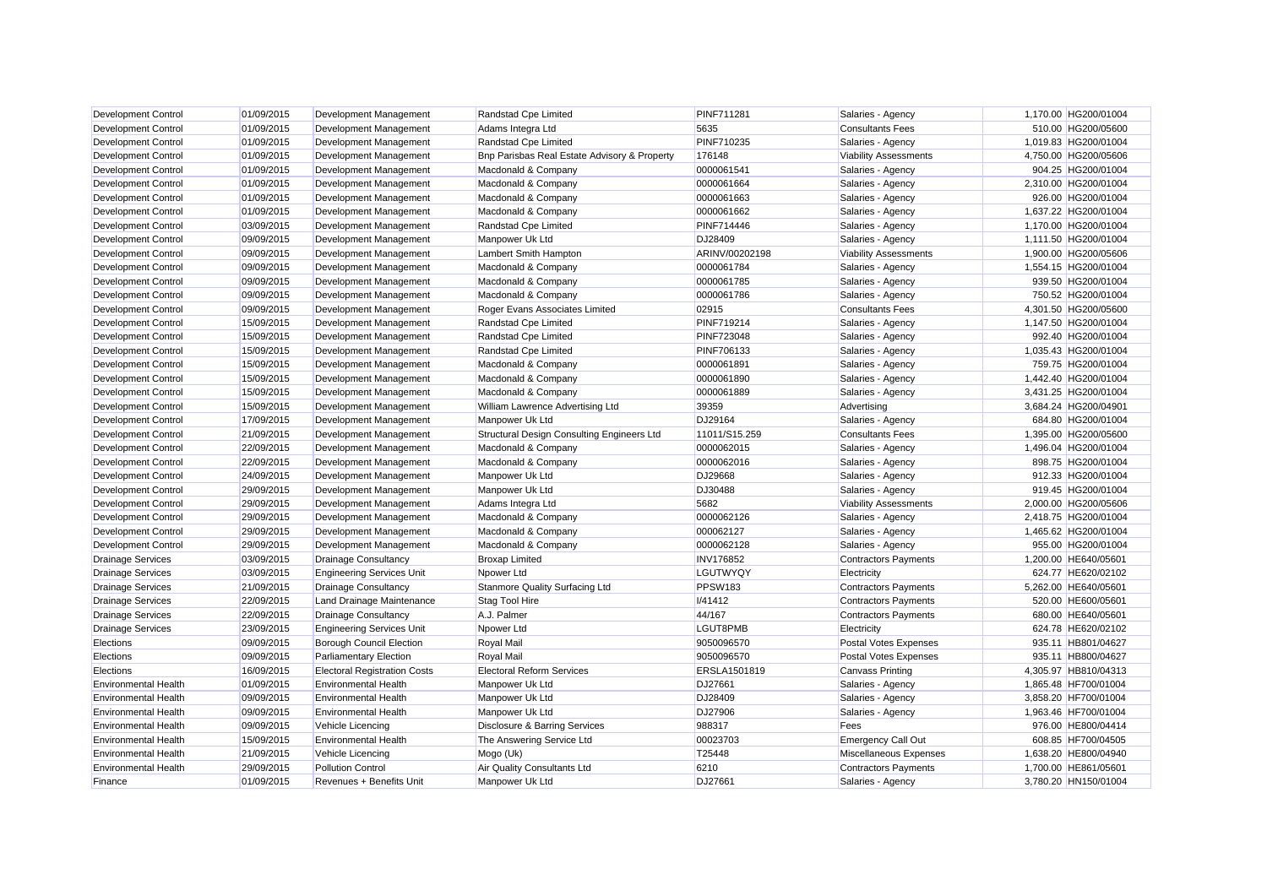| Development Control         | 01/09/2015 | Development Management              | Randstad Cpe Limited                              | <b>PINF711281</b> | Salaries - Agency            | 1,170.00 HG200/01004 |
|-----------------------------|------------|-------------------------------------|---------------------------------------------------|-------------------|------------------------------|----------------------|
| <b>Development Control</b>  | 01/09/2015 | Development Management              | Adams Integra Ltd                                 | 5635              | <b>Consultants Fees</b>      | 510.00 HG200/05600   |
| <b>Development Control</b>  | 01/09/2015 | Development Management              | Randstad Cpe Limited                              | <b>PINF710235</b> | Salaries - Agency            | 1,019.83 HG200/01004 |
| <b>Development Control</b>  | 01/09/2015 | Development Management              | Bnp Parisbas Real Estate Advisory & Property      | 176148            | <b>Viability Assessments</b> | 4,750.00 HG200/05606 |
| <b>Development Control</b>  | 01/09/2015 | Development Management              | Macdonald & Company                               | 0000061541        | Salaries - Agency            | 904.25 HG200/01004   |
| Development Control         | 01/09/2015 | Development Management              | Macdonald & Company                               | 0000061664        | Salaries - Agency            | 2,310.00 HG200/01004 |
| Development Control         | 01/09/2015 | Development Management              | Macdonald & Company                               | 0000061663        | Salaries - Agency            | 926.00 HG200/01004   |
| Development Control         | 01/09/2015 | Development Management              | Macdonald & Company                               | 0000061662        | Salaries - Agency            | 1,637.22 HG200/01004 |
| <b>Development Control</b>  | 03/09/2015 | Development Management              | Randstad Cpe Limited                              | <b>PINF714446</b> | Salaries - Agency            | 1,170.00 HG200/01004 |
| Development Control         | 09/09/2015 | Development Management              | Manpower Uk Ltd                                   | DJ28409           | Salaries - Agency            | 1,111.50 HG200/01004 |
| <b>Development Control</b>  | 09/09/2015 | Development Management              | Lambert Smith Hampton                             | ARINV/00202198    | <b>Viability Assessments</b> | 1,900.00 HG200/05606 |
| Development Control         | 09/09/2015 | Development Management              | Macdonald & Company                               | 0000061784        | Salaries - Agency            | 1,554.15 HG200/01004 |
| <b>Development Control</b>  | 09/09/2015 | Development Management              | Macdonald & Company                               | 0000061785        | Salaries - Agency            | 939.50 HG200/01004   |
| <b>Development Control</b>  | 09/09/2015 | Development Management              | Macdonald & Company                               | 0000061786        | Salaries - Agency            | 750.52 HG200/01004   |
| Development Control         | 09/09/2015 | Development Management              | Roger Evans Associates Limited                    | 02915             | <b>Consultants Fees</b>      | 4,301.50 HG200/05600 |
| Development Control         | 15/09/2015 | Development Management              | Randstad Cpe Limited                              | <b>PINF719214</b> | Salaries - Agency            | 1,147.50 HG200/01004 |
| Development Control         | 15/09/2015 | Development Management              | Randstad Cpe Limited                              | <b>PINF723048</b> | Salaries - Agency            | 992.40 HG200/01004   |
| Development Control         | 15/09/2015 | Development Management              | Randstad Cpe Limited                              | <b>PINF706133</b> | Salaries - Agency            | 1,035.43 HG200/01004 |
| <b>Development Control</b>  | 15/09/2015 | Development Management              | Macdonald & Company                               | 0000061891        | Salaries - Agency            | 759.75 HG200/01004   |
| Development Control         | 15/09/2015 | Development Management              | Macdonald & Company                               | 0000061890        | Salaries - Agency            | 1,442.40 HG200/01004 |
| <b>Development Control</b>  | 15/09/2015 | Development Management              | Macdonald & Company                               | 0000061889        | Salaries - Agency            | 3,431.25 HG200/01004 |
| <b>Development Control</b>  | 15/09/2015 | Development Management              | William Lawrence Advertising Ltd                  | 39359             | Advertising                  | 3,684.24 HG200/04901 |
| <b>Development Control</b>  | 17/09/2015 | Development Management              | Manpower Uk Ltd                                   | DJ29164           | Salaries - Agency            | 684.80 HG200/01004   |
| <b>Development Control</b>  | 21/09/2015 | Development Management              | <b>Structural Design Consulting Engineers Ltd</b> | 11011/S15.259     | <b>Consultants Fees</b>      | 1,395.00 HG200/05600 |
| Development Control         | 22/09/2015 | Development Management              | Macdonald & Company                               | 0000062015        | Salaries - Agency            | 1,496.04 HG200/01004 |
| <b>Development Control</b>  | 22/09/2015 | Development Management              | Macdonald & Company                               | 0000062016        | Salaries - Agency            | 898.75 HG200/01004   |
| Development Control         | 24/09/2015 | Development Management              | Manpower Uk Ltd                                   | DJ29668           | Salaries - Agency            | 912.33 HG200/01004   |
| <b>Development Control</b>  | 29/09/2015 | Development Management              | Manpower Uk Ltd                                   | DJ30488           | Salaries - Agency            | 919.45 HG200/01004   |
| Development Control         | 29/09/2015 | Development Management              | Adams Integra Ltd                                 | 5682              | <b>Viability Assessments</b> | 2,000.00 HG200/05606 |
| <b>Development Control</b>  | 29/09/2015 | Development Management              | Macdonald & Company                               | 0000062126        | Salaries - Agency            | 2,418.75 HG200/01004 |
| <b>Development Control</b>  | 29/09/2015 | <b>Development Management</b>       | Macdonald & Company                               | 000062127         | Salaries - Agency            | 1,465.62 HG200/01004 |
| <b>Development Control</b>  | 29/09/2015 | Development Management              | Macdonald & Company                               | 0000062128        | Salaries - Agency            | 955.00 HG200/01004   |
| <b>Drainage Services</b>    | 03/09/2015 | <b>Drainage Consultancy</b>         | <b>Broxap Limited</b>                             | <b>INV176852</b>  | <b>Contractors Payments</b>  | 1,200.00 HE640/05601 |
| <b>Drainage Services</b>    | 03/09/2015 | <b>Engineering Services Unit</b>    | Npower Ltd                                        | LGUTWYQY          | Electricity                  | 624.77 HE620/02102   |
| <b>Drainage Services</b>    | 21/09/2015 | <b>Drainage Consultancy</b>         | <b>Stanmore Quality Surfacing Ltd</b>             | PPSW183           | <b>Contractors Payments</b>  | 5,262.00 HE640/05601 |
| <b>Drainage Services</b>    | 22/09/2015 | Land Drainage Maintenance           | Stag Tool Hire                                    | <b>I/41412</b>    | <b>Contractors Payments</b>  | 520.00 HE600/05601   |
| Drainage Services           | 22/09/2015 | <b>Drainage Consultancy</b>         | A.J. Palmer                                       | 44/167            | <b>Contractors Payments</b>  | 680.00 HE640/05601   |
| <b>Drainage Services</b>    | 23/09/2015 | <b>Engineering Services Unit</b>    | Npower Ltd                                        | LGUT8PMB          | Electricity                  | 624.78 HE620/02102   |
| Elections                   | 09/09/2015 | <b>Borough Council Election</b>     | Royal Mail                                        | 9050096570        | Postal Votes Expenses        | 935.11 HB801/04627   |
| Elections                   | 09/09/2015 | <b>Parliamentary Election</b>       | Royal Mail                                        | 9050096570        | <b>Postal Votes Expenses</b> | 935.11 HB800/04627   |
| Elections                   | 16/09/2015 | <b>Electoral Registration Costs</b> | <b>Electoral Reform Services</b>                  | ERSLA1501819      | <b>Canvass Printing</b>      | 4,305.97 HB810/04313 |
| <b>Environmental Health</b> | 01/09/2015 | <b>Environmental Health</b>         | Manpower Uk Ltd                                   | DJ27661           | Salaries - Agency            | 1,865.48 HF700/01004 |
| <b>Environmental Health</b> | 09/09/2015 | <b>Environmental Health</b>         | Manpower Uk Ltd                                   | DJ28409           | Salaries - Agency            | 3,858.20 HF700/01004 |
| <b>Environmental Health</b> | 09/09/2015 | <b>Environmental Health</b>         | Manpower Uk Ltd                                   | DJ27906           | Salaries - Agency            | 1,963.46 HF700/01004 |
| <b>Environmental Health</b> | 09/09/2015 | Vehicle Licencing                   | Disclosure & Barring Services                     | 988317            | Fees                         | 976.00 HE800/04414   |
| <b>Environmental Health</b> | 15/09/2015 | <b>Environmental Health</b>         | The Answering Service Ltd                         | 00023703          | <b>Emergency Call Out</b>    | 608.85 HF700/04505   |
| <b>Environmental Health</b> | 21/09/2015 | Vehicle Licencing                   | Mogo (Uk)                                         | T25448            | Miscellaneous Expenses       | 1,638.20 HE800/04940 |
| <b>Environmental Health</b> | 29/09/2015 | <b>Pollution Control</b>            | <b>Air Quality Consultants Ltd</b>                | 6210              | <b>Contractors Payments</b>  | 1,700.00 HE861/05601 |
| Finance                     | 01/09/2015 | Revenues + Benefits Unit            | Manpower Uk Ltd                                   | DJ27661           | Salaries - Agency            | 3,780.20 HN150/01004 |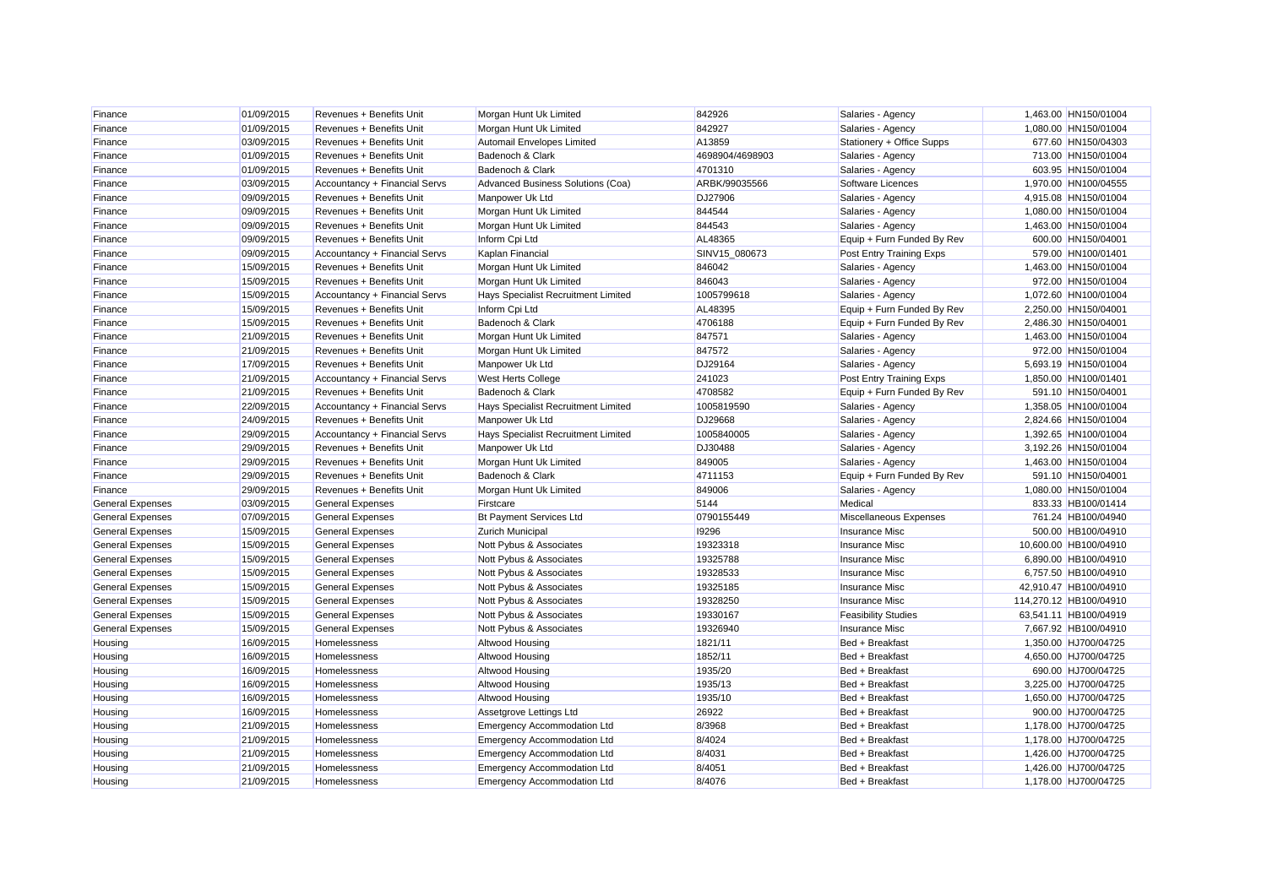| Finance                 | 01/09/2015 | Revenues + Benefits Unit      | Morgan Hunt Uk Limited              | 842926          | Salaries - Agency          | 1,463.00 HN150/01004   |
|-------------------------|------------|-------------------------------|-------------------------------------|-----------------|----------------------------|------------------------|
| Finance                 | 01/09/2015 | Revenues + Benefits Unit      | Morgan Hunt Uk Limited              | 842927          | Salaries - Agency          | 1,080.00 HN150/01004   |
| Finance                 | 03/09/2015 | Revenues + Benefits Unit      | Automail Envelopes Limited          | A13859          | Stationery + Office Supps  | 677.60 HN150/04303     |
| Finance                 | 01/09/2015 | Revenues + Benefits Unit      | Badenoch & Clark                    | 4698904/4698903 | Salaries - Agency          | 713.00 HN150/01004     |
| Finance                 | 01/09/2015 | Revenues + Benefits Unit      | Badenoch & Clark                    | 4701310         | Salaries - Agency          | 603.95 HN150/01004     |
| Finance                 | 03/09/2015 | Accountancy + Financial Servs | Advanced Business Solutions (Coa)   | ARBK/99035566   | Software Licences          | 1,970.00 HN100/04555   |
| Finance                 | 09/09/2015 | Revenues + Benefits Unit      | Manpower Uk Ltd                     | DJ27906         | Salaries - Agency          | 4,915.08 HN150/01004   |
| Finance                 | 09/09/2015 | Revenues + Benefits Unit      | Morgan Hunt Uk Limited              | 844544          | Salaries - Agency          | 1,080.00 HN150/01004   |
| Finance                 | 09/09/2015 | Revenues + Benefits Unit      | Morgan Hunt Uk Limited              | 844543          | Salaries - Agency          | 1,463.00 HN150/01004   |
| Finance                 | 09/09/2015 | Revenues + Benefits Unit      | Inform Cpi Ltd                      | AL48365         | Equip + Furn Funded By Rev | 600.00 HN150/04001     |
| Finance                 | 09/09/2015 | Accountancy + Financial Servs | Kaplan Financial                    | SINV15 080673   | Post Entry Training Exps   | 579.00 HN100/01401     |
| Finance                 | 15/09/2015 | Revenues + Benefits Unit      | Morgan Hunt Uk Limited              | 846042          | Salaries - Agency          | 1,463.00 HN150/01004   |
| Finance                 | 15/09/2015 | Revenues + Benefits Unit      | Morgan Hunt Uk Limited              | 846043          | Salaries - Agency          | 972.00 HN150/01004     |
| Finance                 | 15/09/2015 | Accountancy + Financial Servs | Hays Specialist Recruitment Limited | 1005799618      | Salaries - Agency          | 1,072.60 HN100/01004   |
| Finance                 | 15/09/2015 | Revenues + Benefits Unit      | Inform Cpi Ltd                      | AL48395         | Equip + Furn Funded By Rev | 2,250.00 HN150/04001   |
| Finance                 | 15/09/2015 | Revenues + Benefits Unit      | Badenoch & Clark                    | 4706188         | Equip + Furn Funded By Rev | 2,486.30 HN150/04001   |
| Finance                 | 21/09/2015 | Revenues + Benefits Unit      | Morgan Hunt Uk Limited              | 847571          | Salaries - Agency          | 1,463.00 HN150/01004   |
| Finance                 | 21/09/2015 | Revenues + Benefits Unit      | Morgan Hunt Uk Limited              | 847572          | Salaries - Agency          | 972.00 HN150/01004     |
| Finance                 | 17/09/2015 | Revenues + Benefits Unit      | Manpower Uk Ltd                     | DJ29164         | Salaries - Agency          | 5,693.19 HN150/01004   |
| Finance                 | 21/09/2015 | Accountancy + Financial Servs | West Herts College                  | 241023          | Post Entry Training Exps   | 1,850.00 HN100/01401   |
| Finance                 | 21/09/2015 | Revenues + Benefits Unit      | Badenoch & Clark                    | 4708582         | Equip + Furn Funded By Rev | 591.10 HN150/04001     |
| Finance                 | 22/09/2015 | Accountancy + Financial Servs | Hays Specialist Recruitment Limited | 1005819590      | Salaries - Agency          | 1,358.05 HN100/01004   |
| Finance                 | 24/09/2015 | Revenues + Benefits Unit      | Manpower Uk Ltd                     | DJ29668         | Salaries - Agency          | 2,824.66 HN150/01004   |
| Finance                 | 29/09/2015 | Accountancy + Financial Servs | Hays Specialist Recruitment Limited | 1005840005      | Salaries - Agency          | 1,392.65 HN100/01004   |
| Finance                 | 29/09/2015 | Revenues + Benefits Unit      | Manpower Uk Ltd                     | DJ30488         | Salaries - Agency          | 3,192.26 HN150/01004   |
| Finance                 | 29/09/2015 | Revenues + Benefits Unit      | Morgan Hunt Uk Limited              | 849005          | Salaries - Agency          | 1,463.00 HN150/01004   |
| Finance                 | 29/09/2015 | Revenues + Benefits Unit      | Badenoch & Clark                    | 4711153         | Equip + Furn Funded By Rev | 591.10 HN150/04001     |
| Finance                 | 29/09/2015 | Revenues + Benefits Unit      | Morgan Hunt Uk Limited              | 849006          | Salaries - Agency          | 1,080.00 HN150/01004   |
| <b>General Expenses</b> | 03/09/2015 | <b>General Expenses</b>       | Firstcare                           | 5144            | Medical                    | 833.33 HB100/01414     |
| <b>General Expenses</b> | 07/09/2015 | <b>General Expenses</b>       | <b>Bt Payment Services Ltd</b>      | 0790155449      | Miscellaneous Expenses     | 761.24 HB100/04940     |
| <b>General Expenses</b> | 15/09/2015 | <b>General Expenses</b>       | Zurich Municipal                    | 19296           | <b>Insurance Misc</b>      | 500.00 HB100/04910     |
| <b>General Expenses</b> | 15/09/2015 | <b>General Expenses</b>       | Nott Pybus & Associates             | 19323318        | <b>Insurance Misc</b>      | 10,600.00 HB100/04910  |
| <b>General Expenses</b> | 15/09/2015 | <b>General Expenses</b>       | Nott Pybus & Associates             | 19325788        | <b>Insurance Misc</b>      | 6,890.00 HB100/04910   |
| <b>General Expenses</b> | 15/09/2015 | <b>General Expenses</b>       | Nott Pybus & Associates             | 19328533        | <b>Insurance Misc</b>      | 6,757.50 HB100/04910   |
| <b>General Expenses</b> | 15/09/2015 | <b>General Expenses</b>       | Nott Pybus & Associates             | 19325185        | <b>Insurance Misc</b>      | 42,910.47 HB100/04910  |
| <b>General Expenses</b> | 15/09/2015 | <b>General Expenses</b>       | Nott Pybus & Associates             | 19328250        | <b>Insurance Misc</b>      | 114,270.12 HB100/04910 |
| <b>General Expenses</b> | 15/09/2015 | <b>General Expenses</b>       | Nott Pybus & Associates             | 19330167        | <b>Feasibility Studies</b> | 63,541.11 HB100/04919  |
|                         |            |                               |                                     | 19326940        |                            |                        |
| <b>General Expenses</b> | 15/09/2015 | <b>General Expenses</b>       | Nott Pybus & Associates             |                 | <b>Insurance Misc</b>      | 7,667.92 HB100/04910   |
| Housing                 | 16/09/2015 | Homelessness                  | Altwood Housing                     | 1821/11         | Bed + Breakfast            | 1,350.00 HJ700/04725   |
| Housing                 | 16/09/2015 | Homelessness                  | Altwood Housing                     | 1852/11         | Bed + Breakfast            | 4,650.00 HJ700/04725   |
| Housing                 | 16/09/2015 | Homelessness                  | Altwood Housing                     | 1935/20         | Bed + Breakfast            | 690.00 HJ700/04725     |
| Housing                 | 16/09/2015 | Homelessness                  | Altwood Housing                     | 1935/13         | Bed + Breakfast            | 3,225.00 HJ700/04725   |
| Housing                 | 16/09/2015 | Homelessness                  | Altwood Housing                     | 1935/10         | Bed + Breakfast            | 1,650.00 HJ700/04725   |
| Housing                 | 16/09/2015 | Homelessness                  | Assetgrove Lettings Ltd             | 26922           | Bed + Breakfast            | 900.00 HJ700/04725     |
| Housing                 | 21/09/2015 | Homelessness                  | <b>Emergency Accommodation Ltd</b>  | 8/3968          | Bed + Breakfast            | 1,178.00 HJ700/04725   |
| Housing                 | 21/09/2015 | Homelessness                  | <b>Emergency Accommodation Ltd</b>  | 8/4024          | Bed + Breakfast            | 1,178.00 HJ700/04725   |
| Housing                 | 21/09/2015 | Homelessness                  | <b>Emergency Accommodation Ltd</b>  | 8/4031          | Bed + Breakfast            | 1,426.00 HJ700/04725   |
| Housing                 | 21/09/2015 | Homelessness                  | <b>Emergency Accommodation Ltd</b>  | 8/4051          | Bed + Breakfast            | 1,426.00 HJ700/04725   |
| Housing                 | 21/09/2015 | Homelessness                  | <b>Emergency Accommodation Ltd</b>  | 8/4076          | Bed + Breakfast            | 1.178.00 HJ700/04725   |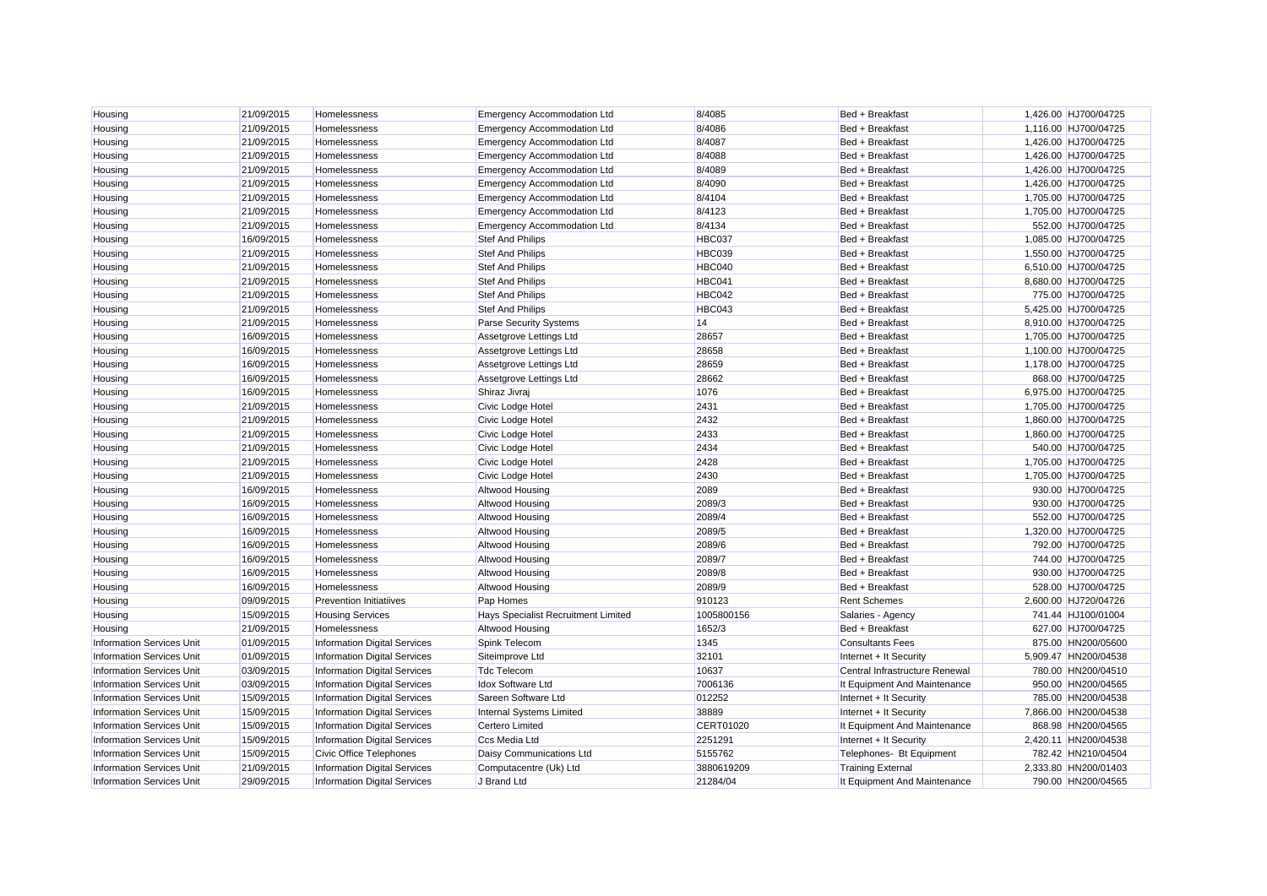| Housing                          | 21/09/2015 | Homelessness                        | <b>Emergency Accommodation Ltd</b>  | 8/4085     | Bed + Breakfast                | 1,426.00 HJ700/04725 |
|----------------------------------|------------|-------------------------------------|-------------------------------------|------------|--------------------------------|----------------------|
| Housing                          | 21/09/2015 | Homelessness                        | <b>Emergency Accommodation Ltd</b>  | 8/4086     | Bed + Breakfast                | 1,116.00 HJ700/04725 |
| Housing                          | 21/09/2015 | Homelessness                        | <b>Emergency Accommodation Ltd</b>  | 8/4087     | Bed + Breakfast                | 1,426.00 HJ700/04725 |
| Housing                          | 21/09/2015 | Homelessness                        | <b>Emergency Accommodation Ltd</b>  | 8/4088     | Bed + Breakfast                | 1,426.00 HJ700/04725 |
| Housing                          | 21/09/2015 | Homelessness                        | <b>Emergency Accommodation Ltd</b>  | 8/4089     | Bed + Breakfast                | 1,426.00 HJ700/04725 |
| Housing                          | 21/09/2015 | Homelessness                        | <b>Emergency Accommodation Ltd</b>  | 8/4090     | Bed + Breakfast                | 1,426.00 HJ700/04725 |
| Housing                          | 21/09/2015 | Homelessness                        | <b>Emergency Accommodation Ltd</b>  | 8/4104     | Bed + Breakfast                | 1,705.00 HJ700/04725 |
| Housing                          | 21/09/2015 | Homelessness                        | <b>Emergency Accommodation Ltd</b>  | 8/4123     | Bed + Breakfast                | 1,705.00 HJ700/04725 |
| Housing                          | 21/09/2015 | Homelessness                        | <b>Emergency Accommodation Ltd</b>  | 8/4134     | Bed + Breakfast                | 552.00 HJ700/04725   |
| Housing                          | 16/09/2015 | Homelessness                        | <b>Stef And Philips</b>             | HBC037     | Bed + Breakfast                | 1,085.00 HJ700/04725 |
| Housing                          | 21/09/2015 | Homelessness                        | <b>Stef And Philips</b>             | HBC039     | Bed + Breakfast                | 1,550.00 HJ700/04725 |
| Housing                          | 21/09/2015 | Homelessness                        | <b>Stef And Philips</b>             | HBC040     | Bed + Breakfast                | 6,510.00 HJ700/04725 |
| Housing                          | 21/09/2015 | Homelessness                        | <b>Stef And Philips</b>             | HBC041     | Bed + Breakfast                | 8,680.00 HJ700/04725 |
| Housing                          | 21/09/2015 | Homelessness                        | <b>Stef And Philips</b>             | HBC042     | Bed + Breakfast                | 775.00 HJ700/04725   |
| Housing                          | 21/09/2015 | Homelessness                        | <b>Stef And Philips</b>             | HBC043     | Bed + Breakfast                | 5,425.00 HJ700/04725 |
| Housing                          | 21/09/2015 | Homelessness                        | <b>Parse Security Systems</b>       | 14         | Bed + Breakfast                | 8,910.00 HJ700/04725 |
| Housing                          | 16/09/2015 | Homelessness                        | Assetgrove Lettings Ltd             | 28657      | Bed + Breakfast                | 1,705.00 HJ700/04725 |
| Housing                          | 16/09/2015 | Homelessness                        | Assetgrove Lettings Ltd             | 28658      | Bed + Breakfast                | 1,100.00 HJ700/04725 |
| Housing                          | 16/09/2015 | Homelessness                        | Assetgrove Lettings Ltd             | 28659      | Bed + Breakfast                | 1,178.00 HJ700/04725 |
| Housing                          | 16/09/2015 | Homelessness                        | Assetgrove Lettings Ltd             | 28662      | Bed + Breakfast                | 868.00 HJ700/04725   |
| Housing                          | 16/09/2015 | Homelessness                        | Shiraz Jivraj                       | 1076       | Bed + Breakfast                | 6,975.00 HJ700/04725 |
| Housing                          | 21/09/2015 | Homelessness                        | Civic Lodge Hotel                   | 2431       | Bed + Breakfast                | 1,705.00 HJ700/04725 |
| Housing                          | 21/09/2015 | Homelessness                        | Civic Lodge Hotel                   | 2432       | Bed + Breakfast                | 1,860.00 HJ700/04725 |
| Housing                          | 21/09/2015 | Homelessness                        | Civic Lodge Hotel                   | 2433       | Bed + Breakfast                | 1,860.00 HJ700/04725 |
| Housing                          | 21/09/2015 | Homelessness                        | Civic Lodge Hotel                   | 2434       | Bed + Breakfast                | 540.00 HJ700/04725   |
| Housing                          | 21/09/2015 | Homelessness                        | Civic Lodge Hotel                   | 2428       | Bed + Breakfast                | 1,705.00 HJ700/04725 |
| Housing                          | 21/09/2015 | Homelessness                        | Civic Lodge Hotel                   | 2430       | Bed + Breakfast                | 1,705.00 HJ700/04725 |
| Housing                          | 16/09/2015 | Homelessness                        | Altwood Housing                     | 2089       | Bed + Breakfast                | 930.00 HJ700/04725   |
| Housing                          | 16/09/2015 | Homelessness                        | Altwood Housing                     | 2089/3     | Bed + Breakfast                | 930.00 HJ700/04725   |
| Housing                          | 16/09/2015 | Homelessness                        | Altwood Housing                     | 2089/4     | Bed + Breakfast                | 552.00 HJ700/04725   |
| Housing                          | 16/09/2015 | Homelessness                        | Altwood Housing                     | 2089/5     | Bed + Breakfast                | 1,320.00 HJ700/04725 |
| Housing                          | 16/09/2015 | Homelessness                        | <b>Altwood Housing</b>              | 2089/6     | Bed + Breakfast                | 792.00 HJ700/04725   |
| Housing                          | 16/09/2015 | Homelessness                        | Altwood Housing                     | 2089/7     | Bed + Breakfast                | 744.00 HJ700/04725   |
| Housing                          | 16/09/2015 | Homelessness                        | Altwood Housing                     | 2089/8     | Bed + Breakfast                | 930.00 HJ700/04725   |
| Housing                          | 16/09/2015 | Homelessness                        | Altwood Housing                     | 2089/9     | Bed + Breakfast                | 528.00 HJ700/04725   |
| Housing                          | 09/09/2015 | <b>Prevention Initiatiives</b>      | Pap Homes                           | 910123     | <b>Rent Schemes</b>            | 2,600.00 HJ720/04726 |
| Housing                          | 15/09/2015 | <b>Housing Services</b>             | Hays Specialist Recruitment Limited | 1005800156 | Salaries - Agency              | 741.44 HJ100/01004   |
| Housing                          | 21/09/2015 | Homelessness                        | Altwood Housing                     | 1652/3     | Bed + Breakfast                | 627.00 HJ700/04725   |
| <b>Information Services Unit</b> | 01/09/2015 | <b>Information Digital Services</b> | Spink Telecom                       | 1345       | <b>Consultants Fees</b>        | 875.00 HN200/05600   |
| <b>Information Services Unit</b> | 01/09/2015 | <b>Information Digital Services</b> | Siteimprove Ltd                     | 32101      | Internet + It Security         | 5,909.47 HN200/04538 |
| <b>Information Services Unit</b> | 03/09/2015 | <b>Information Digital Services</b> | <b>Tdc Telecom</b>                  | 10637      | Central Infrastructure Renewal | 780.00 HN200/04510   |
| <b>Information Services Unit</b> | 03/09/2015 | <b>Information Digital Services</b> | <b>Idox Software Ltd</b>            | 7006136    | It Equipment And Maintenance   | 950.00 HN200/04565   |
| <b>Information Services Unit</b> | 15/09/2015 | <b>Information Digital Services</b> | Sareen Software Ltd                 | 012252     | Internet + It Security         | 785.00 HN200/04538   |
| <b>Information Services Unit</b> | 15/09/2015 | <b>Information Digital Services</b> | Internal Systems Limited            | 38889      | Internet + It Security         | 7,866.00 HN200/04538 |
| Information Services Unit        | 15/09/2015 | <b>Information Digital Services</b> | <b>Certero Limited</b>              | CERT01020  | It Equipment And Maintenance   | 868.98 HN200/04565   |
| Information Services Unit        | 15/09/2015 | Information Digital Services        | Ccs Media Ltd                       | 2251291    | Internet + It Security         | 2,420.11 HN200/04538 |
| <b>Information Services Unit</b> | 15/09/2015 | Civic Office Telephones             | Daisy Communications Ltd            | 5155762    | Telephones- Bt Equipment       | 782.42 HN210/04504   |
| <b>Information Services Unit</b> | 21/09/2015 | <b>Information Digital Services</b> | Computacentre (Uk) Ltd              | 3880619209 | <b>Training External</b>       | 2.333.80 HN200/01403 |
| <b>Information Services Unit</b> | 29/09/2015 | <b>Information Digital Services</b> | J Brand Ltd                         | 21284/04   | It Equipment And Maintenance   | 790.00 HN200/04565   |
|                                  |            |                                     |                                     |            |                                |                      |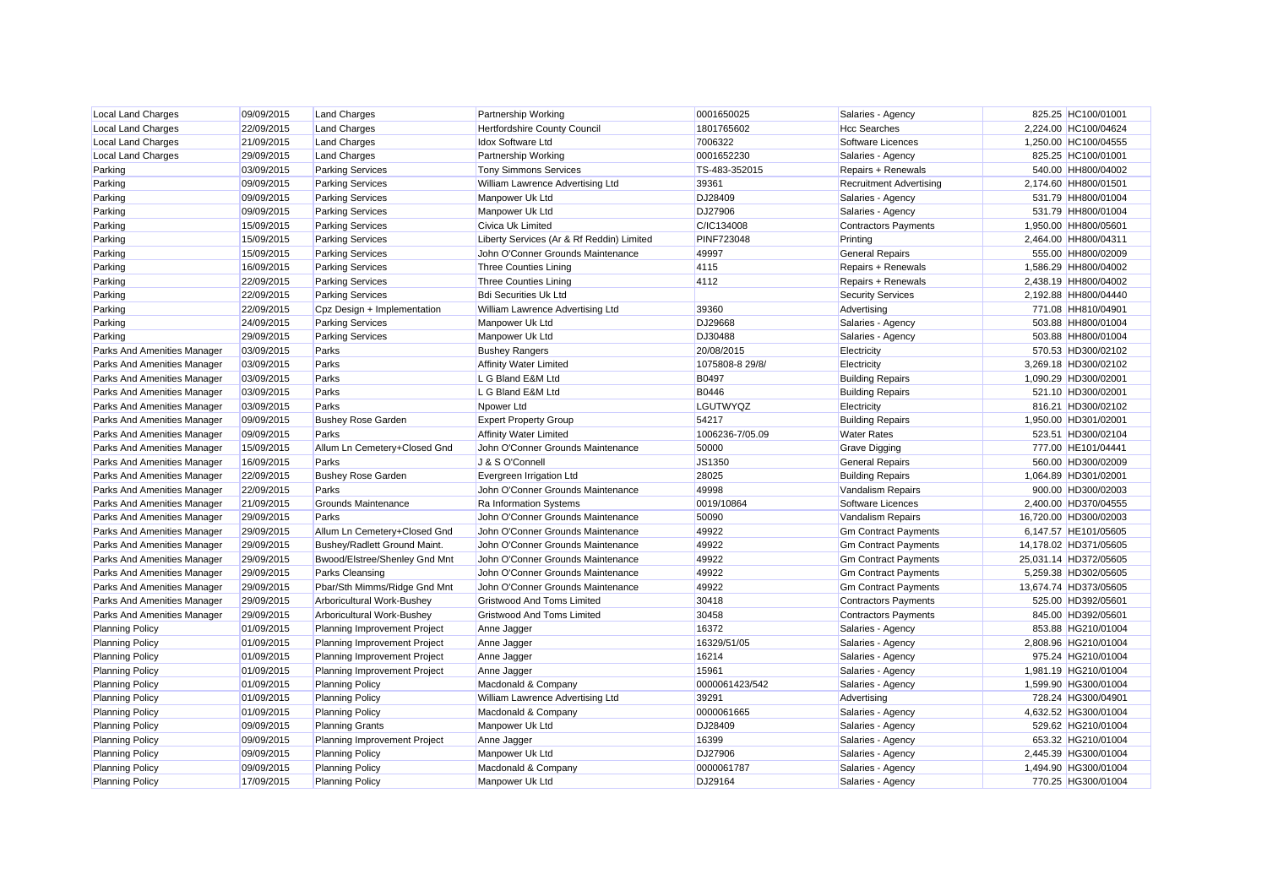| <b>Local Land Charges</b>   | 09/09/2015 | <b>Land Charges</b>           | <b>Partnership Working</b>                | 0001650025        | Salaries - Agency              | 825.25 HC100/01001    |
|-----------------------------|------------|-------------------------------|-------------------------------------------|-------------------|--------------------------------|-----------------------|
| <b>Local Land Charges</b>   | 22/09/2015 | <b>Land Charges</b>           | Hertfordshire County Council              | 1801765602        | <b>Hcc Searches</b>            | 2,224.00 HC100/04624  |
| <b>Local Land Charges</b>   | 21/09/2015 | <b>Land Charges</b>           | <b>Idox Software Ltd</b>                  | 7006322           | Software Licences              | 1,250.00 HC100/04555  |
| <b>Local Land Charges</b>   | 29/09/2015 | <b>Land Charges</b>           | <b>Partnership Working</b>                | 0001652230        | Salaries - Agency              | 825.25 HC100/01001    |
| Parking                     | 03/09/2015 | <b>Parking Services</b>       | <b>Tony Simmons Services</b>              | TS-483-352015     | Repairs + Renewals             | 540.00 HH800/04002    |
| Parking                     | 09/09/2015 | <b>Parking Services</b>       | William Lawrence Advertising Ltd          | 39361             | <b>Recruitment Advertising</b> | 2,174.60 HH800/01501  |
| Parking                     | 09/09/2015 | <b>Parking Services</b>       | Manpower Uk Ltd                           | DJ28409           | Salaries - Agency              | 531.79 HH800/01004    |
| Parking                     | 09/09/2015 | <b>Parking Services</b>       | Manpower Uk Ltd                           | DJ27906           | Salaries - Agency              | 531.79 HH800/01004    |
| Parking                     | 15/09/2015 | <b>Parking Services</b>       | Civica Uk Limited                         | C/IC134008        | <b>Contractors Payments</b>    | 1,950.00 HH800/05601  |
| Parking                     | 15/09/2015 | <b>Parking Services</b>       | Liberty Services (Ar & Rf Reddin) Limited | <b>PINF723048</b> | Printing                       | 2,464.00 HH800/04311  |
| Parking                     | 15/09/2015 | <b>Parking Services</b>       | John O'Conner Grounds Maintenance         | 49997             | <b>General Repairs</b>         | 555.00 HH800/02009    |
| Parking                     | 16/09/2015 | <b>Parking Services</b>       | <b>Three Counties Lining</b>              | 4115              | Repairs + Renewals             | 1,586.29 HH800/04002  |
| Parking                     | 22/09/2015 | <b>Parking Services</b>       | <b>Three Counties Lining</b>              | 4112              | Repairs + Renewals             | 2,438.19 HH800/04002  |
| Parking                     | 22/09/2015 | <b>Parking Services</b>       | <b>Bdi Securities Uk Ltd</b>              |                   | <b>Security Services</b>       | 2,192.88 HH800/04440  |
| Parking                     | 22/09/2015 | Cpz Design + Implementation   | William Lawrence Advertising Ltd          | 39360             | Advertising                    | 771.08 HH810/04901    |
| Parking                     | 24/09/2015 | <b>Parking Services</b>       | Manpower Uk Ltd                           | DJ29668           | Salaries - Agency              | 503.88 HH800/01004    |
| Parking                     | 29/09/2015 | <b>Parking Services</b>       | Manpower Uk Ltd                           | DJ30488           | Salaries - Agency              | 503.88 HH800/01004    |
| Parks And Amenities Manager | 03/09/2015 | Parks                         | <b>Bushey Rangers</b>                     | 20/08/2015        | Electricity                    | 570.53 HD300/02102    |
| Parks And Amenities Manager | 03/09/2015 | Parks                         | <b>Affinity Water Limited</b>             | 1075808-8 29/8/   | Electricity                    | 3,269.18 HD300/02102  |
| Parks And Amenities Manager | 03/09/2015 | Parks                         | L G Bland E&M Ltd                         | B0497             | <b>Building Repairs</b>        | 1,090.29 HD300/02001  |
| Parks And Amenities Manager | 03/09/2015 | Parks                         | L G Bland E&M Ltd                         | B0446             | <b>Building Repairs</b>        | 521.10 HD300/02001    |
| Parks And Amenities Manager | 03/09/2015 | Parks                         | Npower Ltd                                | LGUTWYQZ          | Electricity                    | 816.21 HD300/02102    |
| Parks And Amenities Manager | 09/09/2015 | <b>Bushey Rose Garden</b>     | <b>Expert Property Group</b>              | 54217             | <b>Building Repairs</b>        | 1,950.00 HD301/02001  |
| Parks And Amenities Manager | 09/09/2015 | Parks                         | <b>Affinity Water Limited</b>             | 1006236-7/05.09   | <b>Water Rates</b>             | 523.51 HD300/02104    |
| Parks And Amenities Manager | 15/09/2015 | Allum Ln Cemetery+Closed Gnd  | John O'Conner Grounds Maintenance         | 50000             | <b>Grave Digging</b>           | 777.00 HE101/04441    |
| Parks And Amenities Manager | 16/09/2015 | Parks                         | J & S O'Connell                           | JS1350            | <b>General Repairs</b>         | 560.00 HD300/02009    |
| Parks And Amenities Manager | 22/09/2015 | <b>Bushey Rose Garden</b>     | Evergreen Irrigation Ltd                  | 28025             | <b>Building Repairs</b>        | 1,064.89 HD301/02001  |
| Parks And Amenities Manager | 22/09/2015 | Parks                         | John O'Conner Grounds Maintenance         | 49998             | <b>Vandalism Repairs</b>       | 900.00 HD300/02003    |
| Parks And Amenities Manager | 21/09/2015 | <b>Grounds Maintenance</b>    | Ra Information Systems                    | 0019/10864        | Software Licences              | 2,400.00 HD370/04555  |
| Parks And Amenities Manager | 29/09/2015 | Parks                         | John O'Conner Grounds Maintenance         | 50090             | <b>Vandalism Repairs</b>       | 16,720.00 HD300/02003 |
| Parks And Amenities Manager | 29/09/2015 | Allum Ln Cemetery+Closed Gnd  | John O'Conner Grounds Maintenance         | 49922             | <b>Gm Contract Payments</b>    | 6,147.57 HE101/05605  |
| Parks And Amenities Manager | 29/09/2015 | Bushey/Radlett Ground Maint.  | John O'Conner Grounds Maintenance         | 49922             | <b>Gm Contract Payments</b>    | 14,178.02 HD371/05605 |
| Parks And Amenities Manager | 29/09/2015 | Bwood/Elstree/Shenley Gnd Mnt | John O'Conner Grounds Maintenance         | 49922             | <b>Gm Contract Payments</b>    | 25,031.14 HD372/05605 |
| Parks And Amenities Manager | 29/09/2015 | <b>Parks Cleansing</b>        | John O'Conner Grounds Maintenance         | 49922             | <b>Gm Contract Payments</b>    | 5,259.38 HD302/05605  |
| Parks And Amenities Manager | 29/09/2015 | Pbar/Sth Mimms/Ridge Gnd Mnt  | John O'Conner Grounds Maintenance         | 49922             | <b>Gm Contract Payments</b>    | 13,674.74 HD373/05605 |
| Parks And Amenities Manager | 29/09/2015 | Arboricultural Work-Bushey    | <b>Gristwood And Toms Limited</b>         | 30418             | <b>Contractors Payments</b>    | 525.00 HD392/05601    |
| Parks And Amenities Manager | 29/09/2015 | Arboricultural Work-Bushey    | <b>Gristwood And Toms Limited</b>         | 30458             | <b>Contractors Payments</b>    | 845.00 HD392/05601    |
| <b>Planning Policy</b>      | 01/09/2015 | Planning Improvement Project  | Anne Jagger                               | 16372             | Salaries - Agency              | 853.88 HG210/01004    |
| <b>Planning Policy</b>      | 01/09/2015 | Planning Improvement Project  | Anne Jagger                               | 16329/51/05       | Salaries - Agency              | 2,808.96 HG210/01004  |
| <b>Planning Policy</b>      | 01/09/2015 | Planning Improvement Project  | Anne Jagger                               | 16214             | Salaries - Agency              | 975.24 HG210/01004    |
| <b>Planning Policy</b>      | 01/09/2015 | Planning Improvement Project  | Anne Jagger                               | 15961             | Salaries - Agency              | 1,981.19 HG210/01004  |
| <b>Planning Policy</b>      | 01/09/2015 | <b>Planning Policy</b>        | Macdonald & Company                       | 0000061423/542    | Salaries - Agency              | 1,599.90 HG300/01004  |
| <b>Planning Policy</b>      | 01/09/2015 | <b>Planning Policy</b>        | William Lawrence Advertising Ltd          | 39291             | Advertising                    | 728.24 HG300/04901    |
| <b>Planning Policy</b>      | 01/09/2015 | <b>Planning Policy</b>        | Macdonald & Company                       | 0000061665        | Salaries - Agency              | 4,632.52 HG300/01004  |
| <b>Planning Policy</b>      | 09/09/2015 | <b>Planning Grants</b>        | Manpower Uk Ltd                           | DJ28409           | Salaries - Agency              | 529.62 HG210/01004    |
| <b>Planning Policy</b>      | 09/09/2015 | Planning Improvement Project  | Anne Jagger                               | 16399             | Salaries - Agency              | 653.32 HG210/01004    |
| <b>Planning Policy</b>      | 09/09/2015 | <b>Planning Policy</b>        | Manpower Uk Ltd                           | DJ27906           | Salaries - Agency              | 2,445.39 HG300/01004  |
| <b>Planning Policy</b>      | 09/09/2015 | <b>Planning Policy</b>        | Macdonald & Company                       | 0000061787        | Salaries - Agency              | 1,494.90 HG300/01004  |
| <b>Planning Policy</b>      | 17/09/2015 | <b>Planning Policy</b>        | Manpower Uk Ltd                           | DJ29164           | Salaries - Agency              | 770.25 HG300/01004    |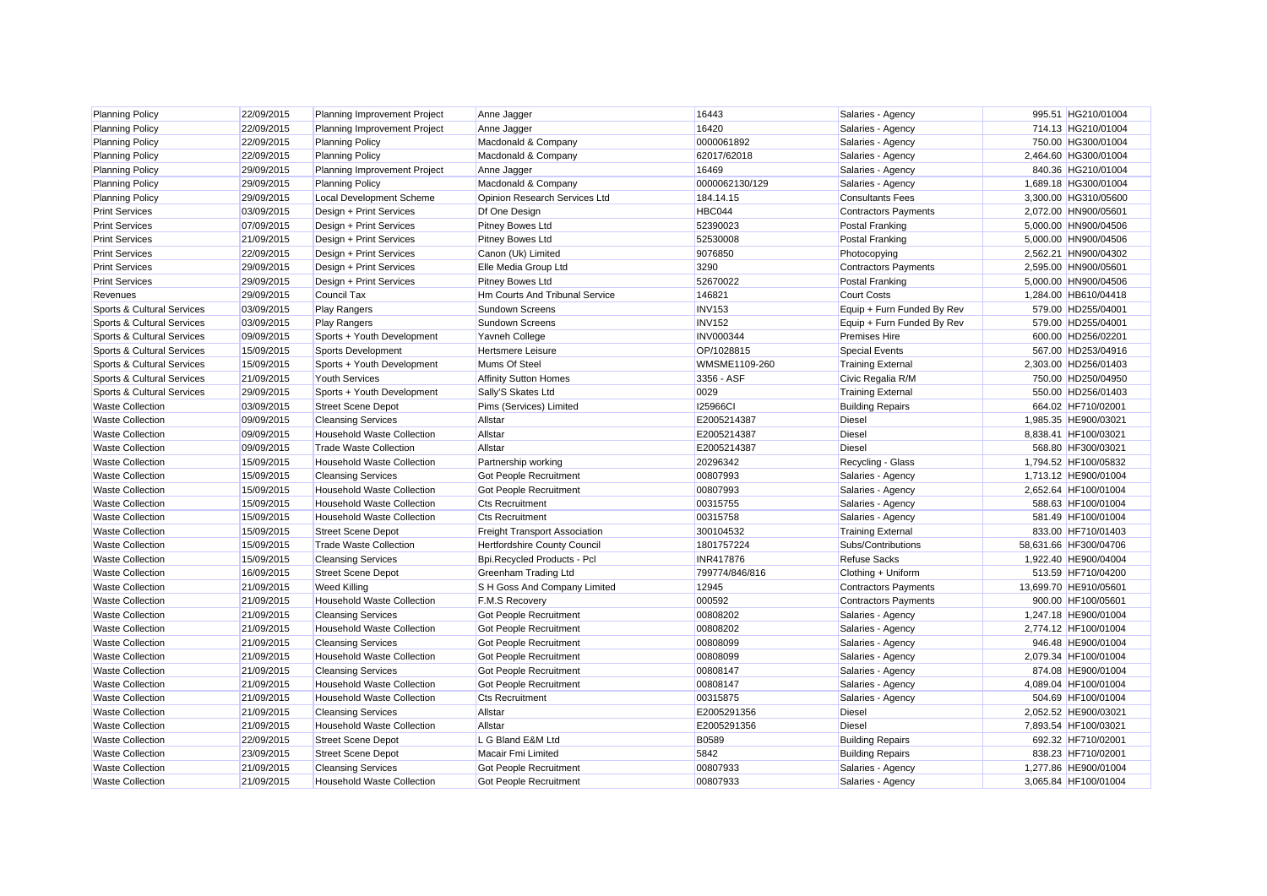| <b>Planning Policy</b>     | 22/09/2015 | Planning Improvement Project      | Anne Jagger                          | 16443            | Salaries - Agency           | 995.51 HG210/01004    |
|----------------------------|------------|-----------------------------------|--------------------------------------|------------------|-----------------------------|-----------------------|
| <b>Planning Policy</b>     | 22/09/2015 | Planning Improvement Project      | Anne Jagger                          | 16420            | Salaries - Agency           | 714.13 HG210/01004    |
| <b>Planning Policy</b>     | 22/09/2015 | <b>Planning Policy</b>            | Macdonald & Company                  | 0000061892       | Salaries - Agency           | 750.00 HG300/01004    |
| <b>Planning Policy</b>     | 22/09/2015 | <b>Planning Policy</b>            | Macdonald & Company                  | 62017/62018      | Salaries - Agency           | 2,464.60 HG300/01004  |
| <b>Planning Policy</b>     | 29/09/2015 | Planning Improvement Project      | Anne Jagger                          | 16469            | Salaries - Agency           | 840.36 HG210/01004    |
| <b>Planning Policy</b>     | 29/09/2015 | <b>Planning Policy</b>            | Macdonald & Company                  | 0000062130/129   | Salaries - Agency           | 1,689.18 HG300/01004  |
| <b>Planning Policy</b>     | 29/09/2015 | Local Development Scheme          | Opinion Research Services Ltd        | 184.14.15        | <b>Consultants Fees</b>     | 3.300.00 HG310/05600  |
| <b>Print Services</b>      | 03/09/2015 | Design + Print Services           | Df One Design                        | HBC044           | <b>Contractors Payments</b> | 2,072.00 HN900/05601  |
| <b>Print Services</b>      | 07/09/2015 | Design + Print Services           | Pitney Bowes Ltd                     | 52390023         | <b>Postal Franking</b>      | 5,000.00 HN900/04506  |
| <b>Print Services</b>      | 21/09/2015 | Design + Print Services           | <b>Pitney Bowes Ltd</b>              | 52530008         | <b>Postal Franking</b>      | 5,000.00 HN900/04506  |
| <b>Print Services</b>      | 22/09/2015 | Design + Print Services           | Canon (Uk) Limited                   | 9076850          | Photocopying                | 2,562.21 HN900/04302  |
| <b>Print Services</b>      | 29/09/2015 | Design + Print Services           | Elle Media Group Ltd                 | 3290             | <b>Contractors Payments</b> | 2,595.00 HN900/05601  |
| <b>Print Services</b>      | 29/09/2015 | Design + Print Services           | Pitney Bowes Ltd                     | 52670022         | <b>Postal Franking</b>      | 5,000.00 HN900/04506  |
| Revenues                   | 29/09/2015 | Council Tax                       | Hm Courts And Tribunal Service       | 146821           | <b>Court Costs</b>          | 1,284.00 HB610/04418  |
| Sports & Cultural Services | 03/09/2015 | <b>Play Rangers</b>               | <b>Sundown Screens</b>               | <b>INV153</b>    | Equip + Furn Funded By Rev  | 579.00 HD255/04001    |
| Sports & Cultural Services | 03/09/2015 | <b>Play Rangers</b>               | Sundown Screens                      | <b>INV152</b>    | Equip + Furn Funded By Rev  | 579.00 HD255/04001    |
| Sports & Cultural Services | 09/09/2015 | Sports + Youth Development        | Yavneh College                       | <b>INV000344</b> | <b>Premises Hire</b>        | 600.00 HD256/02201    |
| Sports & Cultural Services | 15/09/2015 | Sports Development                | <b>Hertsmere Leisure</b>             | OP/1028815       | <b>Special Events</b>       | 567.00 HD253/04916    |
| Sports & Cultural Services | 15/09/2015 | Sports + Youth Development        | Mums Of Steel                        | WMSME1109-260    | <b>Training External</b>    | 2,303.00 HD256/01403  |
| Sports & Cultural Services | 21/09/2015 | <b>Youth Services</b>             | <b>Affinity Sutton Homes</b>         | 3356 - ASF       | Civic Regalia R/M           | 750.00 HD250/04950    |
| Sports & Cultural Services | 29/09/2015 | Sports + Youth Development        | Sally'S Skates Ltd                   | 0029             | <b>Training External</b>    | 550.00 HD256/01403    |
| <b>Waste Collection</b>    | 03/09/2015 | <b>Street Scene Depot</b>         | Pims (Services) Limited              | <b>I25966CI</b>  | <b>Building Repairs</b>     | 664.02 HF710/02001    |
| <b>Waste Collection</b>    | 09/09/2015 | <b>Cleansing Services</b>         | Allstar                              | E2005214387      | <b>Diesel</b>               | 1,985.35 HE900/03021  |
| <b>Waste Collection</b>    | 09/09/2015 | <b>Household Waste Collection</b> | Allstar                              | E2005214387      | <b>Diesel</b>               | 8,838.41 HF100/03021  |
| <b>Waste Collection</b>    | 09/09/2015 | <b>Trade Waste Collection</b>     | Allstar                              | E2005214387      | <b>Diesel</b>               | 568.80 HF300/03021    |
| <b>Waste Collection</b>    | 15/09/2015 | <b>Household Waste Collection</b> | Partnership working                  | 20296342         | Recycling - Glass           | 1,794.52 HF100/05832  |
| <b>Waste Collection</b>    | 15/09/2015 | <b>Cleansing Services</b>         | <b>Got People Recruitment</b>        | 00807993         | Salaries - Agency           | 1,713.12 HE900/01004  |
| <b>Waste Collection</b>    | 15/09/2015 | <b>Household Waste Collection</b> | <b>Got People Recruitment</b>        | 00807993         | Salaries - Agency           | 2.652.64 HF100/01004  |
| <b>Waste Collection</b>    | 15/09/2015 | <b>Household Waste Collection</b> | <b>Cts Recruitment</b>               | 00315755         | Salaries - Agency           | 588.63 HF100/01004    |
| <b>Waste Collection</b>    | 15/09/2015 | <b>Household Waste Collection</b> | <b>Cts Recruitment</b>               | 00315758         | Salaries - Agency           | 581.49 HF100/01004    |
| <b>Waste Collection</b>    | 15/09/2015 | <b>Street Scene Depot</b>         | <b>Freight Transport Association</b> | 300104532        | <b>Training External</b>    | 833.00 HF710/01403    |
| <b>Waste Collection</b>    | 15/09/2015 | <b>Trade Waste Collection</b>     | Hertfordshire County Council         | 1801757224       | Subs/Contributions          | 58,631.66 HF300/04706 |
| <b>Waste Collection</b>    | 15/09/2015 | <b>Cleansing Services</b>         | Bpi.Recycled Products - Pcl          | INR417876        | <b>Refuse Sacks</b>         | 1,922.40 HE900/04004  |
| <b>Waste Collection</b>    | 16/09/2015 | <b>Street Scene Depot</b>         | Greenham Trading Ltd                 | 799774/846/816   | Clothing + Uniform          | 513.59 HF710/04200    |
| <b>Waste Collection</b>    | 21/09/2015 | <b>Weed Killing</b>               | S H Goss And Company Limited         | 12945            | <b>Contractors Payments</b> | 13,699.70 HE910/05601 |
| <b>Waste Collection</b>    | 21/09/2015 | <b>Household Waste Collection</b> | <b>F.M.S Recovery</b>                | 000592           | <b>Contractors Payments</b> | 900.00 HF100/05601    |
| <b>Waste Collection</b>    | 21/09/2015 | <b>Cleansing Services</b>         | Got People Recruitment               | 00808202         | Salaries - Agency           | 1,247.18 HE900/01004  |
| <b>Waste Collection</b>    | 21/09/2015 | <b>Household Waste Collection</b> | <b>Got People Recruitment</b>        | 00808202         | Salaries - Agency           | 2,774.12 HF100/01004  |
| <b>Waste Collection</b>    | 21/09/2015 | <b>Cleansing Services</b>         | <b>Got People Recruitment</b>        | 00808099         | Salaries - Agency           | 946.48 HE900/01004    |
| <b>Waste Collection</b>    | 21/09/2015 | <b>Household Waste Collection</b> | Got People Recruitment               | 00808099         | Salaries - Agency           | 2,079.34 HF100/01004  |
| <b>Waste Collection</b>    | 21/09/2015 | <b>Cleansing Services</b>         | Got People Recruitment               | 00808147         | Salaries - Agency           | 874.08 HE900/01004    |
| <b>Waste Collection</b>    | 21/09/2015 | <b>Household Waste Collection</b> | Got People Recruitment               | 00808147         | Salaries - Agency           | 4.089.04 HF100/01004  |
| <b>Waste Collection</b>    | 21/09/2015 | <b>Household Waste Collection</b> | <b>Cts Recruitment</b>               | 00315875         | Salaries - Agency           | 504.69 HF100/01004    |
| <b>Waste Collection</b>    | 21/09/2015 | <b>Cleansing Services</b>         | Allstar                              | E2005291356      | <b>Diesel</b>               | 2,052.52 HE900/03021  |
| <b>Waste Collection</b>    | 21/09/2015 | <b>Household Waste Collection</b> | Allstar                              | E2005291356      | <b>Diesel</b>               | 7,893.54 HF100/03021  |
| <b>Waste Collection</b>    | 22/09/2015 | <b>Street Scene Depot</b>         | L G Bland E&M Ltd                    | B0589            | <b>Building Repairs</b>     | 692.32 HF710/02001    |
| <b>Waste Collection</b>    | 23/09/2015 | <b>Street Scene Depot</b>         | Macair Fmi Limited                   | 5842             | <b>Building Repairs</b>     | 838.23 HF710/02001    |
| <b>Waste Collection</b>    | 21/09/2015 | <b>Cleansing Services</b>         | <b>Got People Recruitment</b>        | 00807933         | Salaries - Agency           | 1,277.86 HE900/01004  |
| <b>Waste Collection</b>    | 21/09/2015 | <b>Household Waste Collection</b> | <b>Got People Recruitment</b>        | 00807933         | Salaries - Agency           | 3.065.84 HF100/01004  |